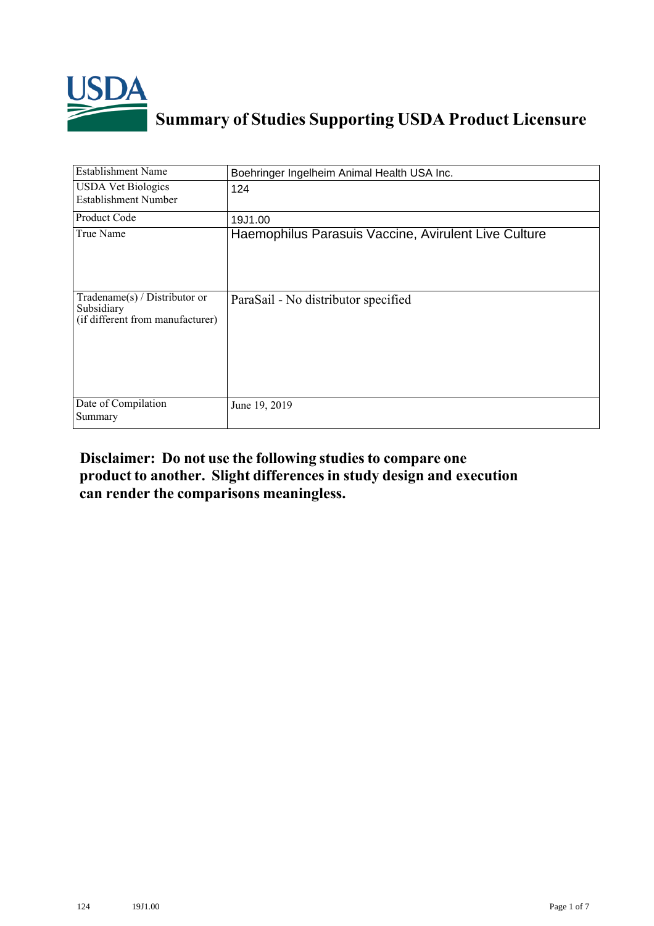

## **Summary of Studies Supporting USDA Product Licensure**

| <b>Establishment Name</b>                                                          | Boehringer Ingelheim Animal Health USA Inc.          |
|------------------------------------------------------------------------------------|------------------------------------------------------|
| <b>USDA Vet Biologics</b><br>Establishment Number                                  | 124                                                  |
| Product Code                                                                       | 19J1.00                                              |
| True Name                                                                          | Haemophilus Parasuis Vaccine, Avirulent Live Culture |
| Tradename $(s)$ / Distributor or<br>Subsidiary<br>(if different from manufacturer) | ParaSail - No distributor specified                  |
| Date of Compilation<br>Summary                                                     | June 19, 2019                                        |

## **Disclaimer: Do not use the following studiesto compare one product to another. Slight differencesin study design and execution can render the comparisons meaningless.**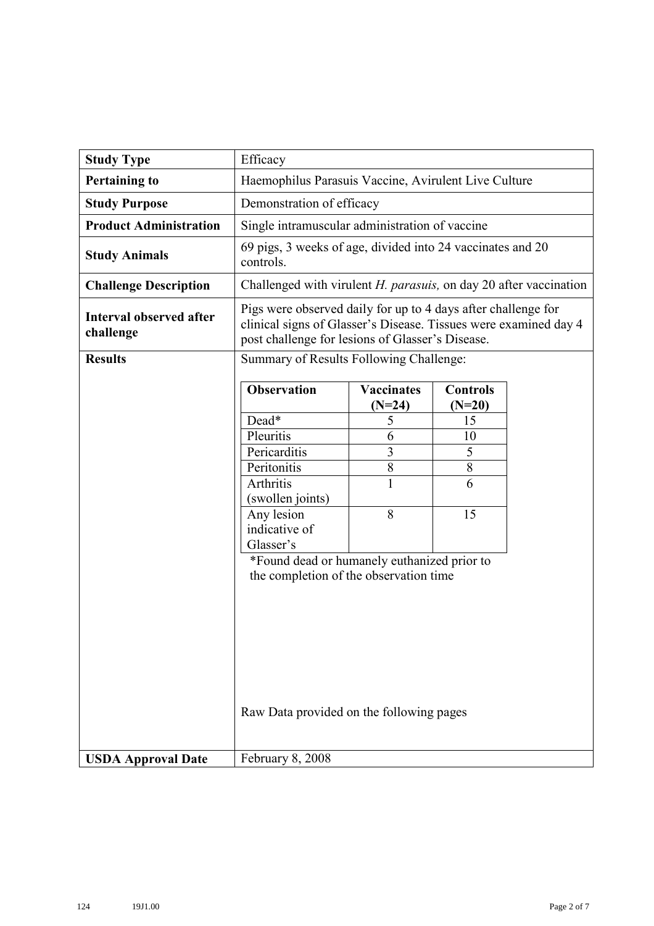| <b>Study Type</b>                           | Efficacy                                                                                                                                                                              |                               |                             |  |  |  |  |
|---------------------------------------------|---------------------------------------------------------------------------------------------------------------------------------------------------------------------------------------|-------------------------------|-----------------------------|--|--|--|--|
| <b>Pertaining to</b>                        | Haemophilus Parasuis Vaccine, Avirulent Live Culture                                                                                                                                  |                               |                             |  |  |  |  |
| <b>Study Purpose</b>                        | Demonstration of efficacy                                                                                                                                                             |                               |                             |  |  |  |  |
| <b>Product Administration</b>               | Single intramuscular administration of vaccine                                                                                                                                        |                               |                             |  |  |  |  |
| <b>Study Animals</b>                        | 69 pigs, 3 weeks of age, divided into 24 vaccinates and 20<br>controls.                                                                                                               |                               |                             |  |  |  |  |
| <b>Challenge Description</b>                | Challenged with virulent H. parasuis, on day 20 after vaccination                                                                                                                     |                               |                             |  |  |  |  |
| <b>Interval observed after</b><br>challenge | Pigs were observed daily for up to 4 days after challenge for<br>clinical signs of Glasser's Disease. Tissues were examined day 4<br>post challenge for lesions of Glasser's Disease. |                               |                             |  |  |  |  |
| <b>Results</b>                              | Summary of Results Following Challenge:                                                                                                                                               |                               |                             |  |  |  |  |
|                                             | <b>Observation</b>                                                                                                                                                                    | <b>Vaccinates</b><br>$(N=24)$ | <b>Controls</b><br>$(N=20)$ |  |  |  |  |
|                                             | Dead*                                                                                                                                                                                 | 5                             | 15                          |  |  |  |  |
|                                             | Pleuritis                                                                                                                                                                             | 6                             | 10                          |  |  |  |  |
|                                             | Pericarditis                                                                                                                                                                          | 3                             | 5                           |  |  |  |  |
|                                             | Peritonitis                                                                                                                                                                           | $\overline{8}$                | 8                           |  |  |  |  |
|                                             | Arthritis                                                                                                                                                                             |                               | 6                           |  |  |  |  |
|                                             | (swollen joints)                                                                                                                                                                      |                               |                             |  |  |  |  |
|                                             | Any lesion                                                                                                                                                                            | 8                             | 15                          |  |  |  |  |
|                                             | indicative of                                                                                                                                                                         |                               |                             |  |  |  |  |
|                                             | Glasser's<br>*Found dead or humanely euthanized prior to                                                                                                                              |                               |                             |  |  |  |  |
|                                             | the completion of the observation time                                                                                                                                                |                               |                             |  |  |  |  |
|                                             |                                                                                                                                                                                       |                               |                             |  |  |  |  |
|                                             |                                                                                                                                                                                       |                               |                             |  |  |  |  |
|                                             |                                                                                                                                                                                       |                               |                             |  |  |  |  |
|                                             |                                                                                                                                                                                       |                               |                             |  |  |  |  |
|                                             |                                                                                                                                                                                       |                               |                             |  |  |  |  |
|                                             |                                                                                                                                                                                       |                               |                             |  |  |  |  |
|                                             |                                                                                                                                                                                       |                               |                             |  |  |  |  |
|                                             | Raw Data provided on the following pages                                                                                                                                              |                               |                             |  |  |  |  |
|                                             |                                                                                                                                                                                       |                               |                             |  |  |  |  |
| <b>USDA Approval Date</b>                   | February 8, 2008                                                                                                                                                                      |                               |                             |  |  |  |  |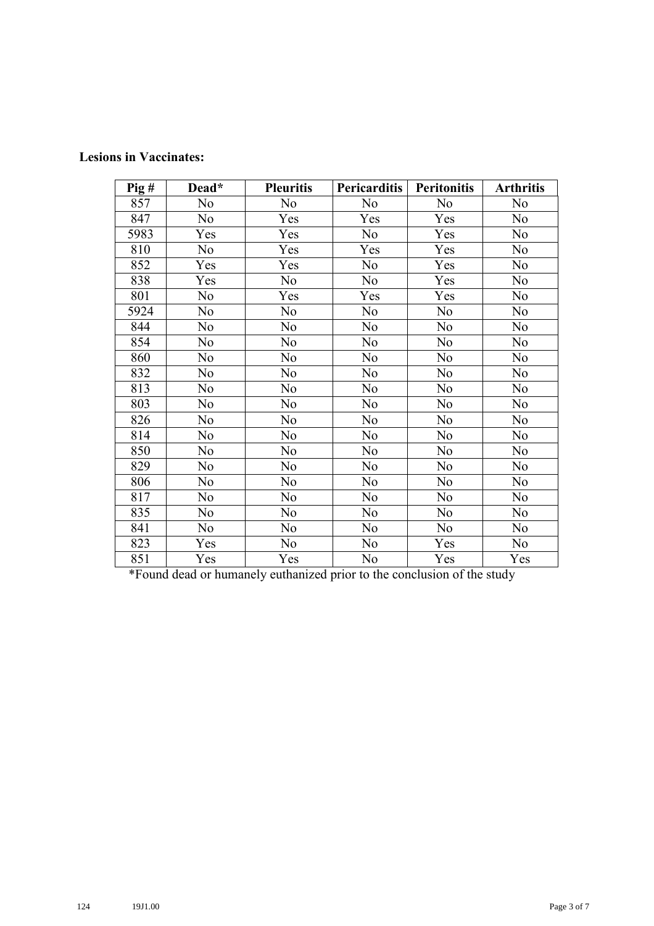| $\overline{P}$ ig# | Dead* | <b>Pleuritis</b> | <b>Pericarditis</b> | <b>Peritonitis</b> | <b>Arthritis</b> |
|--------------------|-------|------------------|---------------------|--------------------|------------------|
| 857                | No    | No               | No                  | N <sub>o</sub>     | N <sub>o</sub>   |
| 847                | No    | Yes              | Yes                 | Yes                | N <sub>o</sub>   |
| 5983               | Yes   | Yes              | No                  | Yes                | No               |
| 810                | No    | Yes              | Yes                 | Yes                | N <sub>o</sub>   |
| 852                | Yes   | Yes              | N <sub>o</sub>      | Yes                | No               |
| 838                | Yes   | N <sub>o</sub>   | N <sub>o</sub>      | Yes                | N <sub>o</sub>   |
| 801                | No    | Yes              | Yes                 | Yes                | N <sub>o</sub>   |
| 5924               | No    | N <sub>o</sub>   | N <sub>o</sub>      | No                 | N <sub>o</sub>   |
| 844                | No    | No               | N <sub>o</sub>      | N <sub>o</sub>     | No               |
| 854                | No    | No               | No                  | No                 | N <sub>o</sub>   |
| 860                | No    | No               | N <sub>o</sub>      | No                 | N <sub>o</sub>   |
| 832                | No    | N <sub>o</sub>   | No                  | No                 | N <sub>o</sub>   |
| 813                | No    | No               | N <sub>o</sub>      | No                 | N <sub>o</sub>   |
| 803                | No    | N <sub>o</sub>   | No                  | No                 | N <sub>o</sub>   |
| 826                | No    | No               | N <sub>o</sub>      | N <sub>o</sub>     | No               |
| 814                | No    | No               | N <sub>o</sub>      | N <sub>o</sub>     | N <sub>o</sub>   |
| 850                | No    | No               | N <sub>o</sub>      | No                 | No               |
| 829                | No    | N <sub>o</sub>   | N <sub>o</sub>      | No                 | N <sub>o</sub>   |
| 806                | No    | No               | N <sub>o</sub>      | No                 | No               |
| 817                | No    | No               | No                  | No                 | No               |
| 835                | No    | No               | No                  | No                 | No               |
| 841                | No    | No               | No                  | No                 | No               |
| 823                | Yes   | N <sub>o</sub>   | No                  | Yes                | No               |
| 851                | Yes   | Yes              | No                  | Yes                | Yes              |

\*Found dead or humanely euthanized prior to the conclusion of the study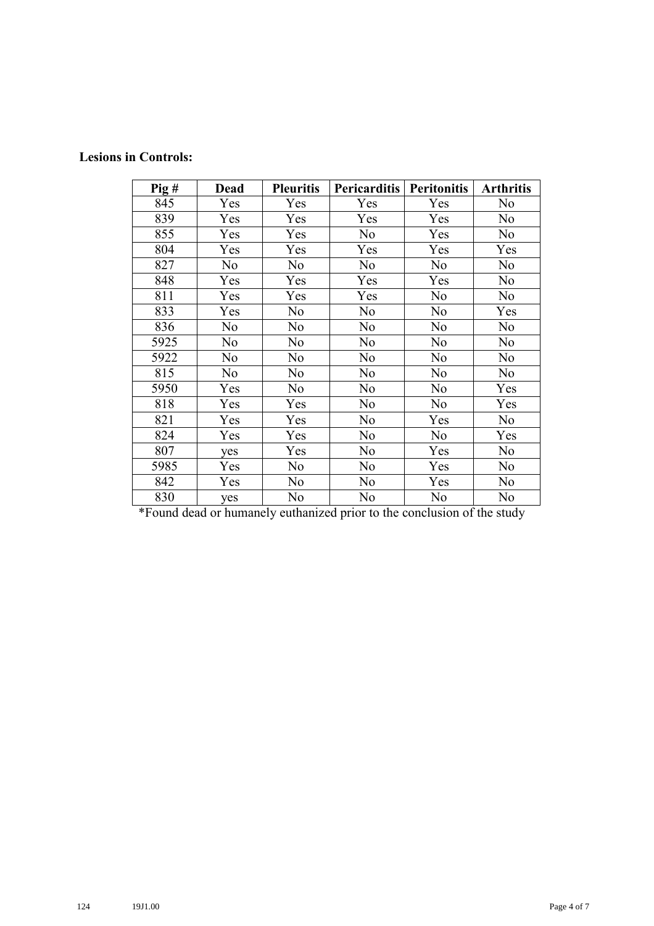## **Lesions in Controls:**

| $\overline{P}$ ig# | <b>Dead</b> | <b>Pleuritis</b> | <b>Pericarditis</b> | <b>Peritonitis</b> | <b>Arthritis</b> |
|--------------------|-------------|------------------|---------------------|--------------------|------------------|
| 845                | Yes         | Yes              | Yes                 | Yes                | No               |
| 839                | Yes         | Yes              | Yes                 | Yes                | No               |
| 855                | Yes         | Yes              | No                  | Yes                | No               |
| 804                | Yes         | Yes              | Yes                 | Yes                | Yes              |
| 827                | No          | No               | No                  | No                 | No               |
| 848                | Yes         | Yes              | Yes                 | Yes                | No               |
| 811                | Yes         | Yes              | Yes                 | No                 | No               |
| 833                | Yes         | No               | No                  | No                 | Yes              |
| 836                | No          | N <sub>o</sub>   | No                  | N <sub>o</sub>     | No               |
| 5925               | No          | No               | No                  | No                 | No               |
| 5922               | No          | No               | No                  | No                 | No               |
| 815                | No          | No               | No                  | No                 | No               |
| 5950               | Yes         | No               | No                  | No                 | Yes              |
| 818                | Yes         | Yes              | No                  | No                 | Yes              |
| 821                | Yes         | Yes              | No                  | Yes                | No               |
| 824                | Yes         | Yes              | No                  | No                 | Yes              |
| 807                | yes         | Yes              | No                  | Yes                | No               |
| 5985               | Yes         | No               | No                  | Yes                | No               |
| 842                | Yes         | No               | No                  | Yes                | No               |
| 830                | yes         | No               | No                  | No                 | No               |

\*Found dead or humanely euthanized prior to the conclusion of the study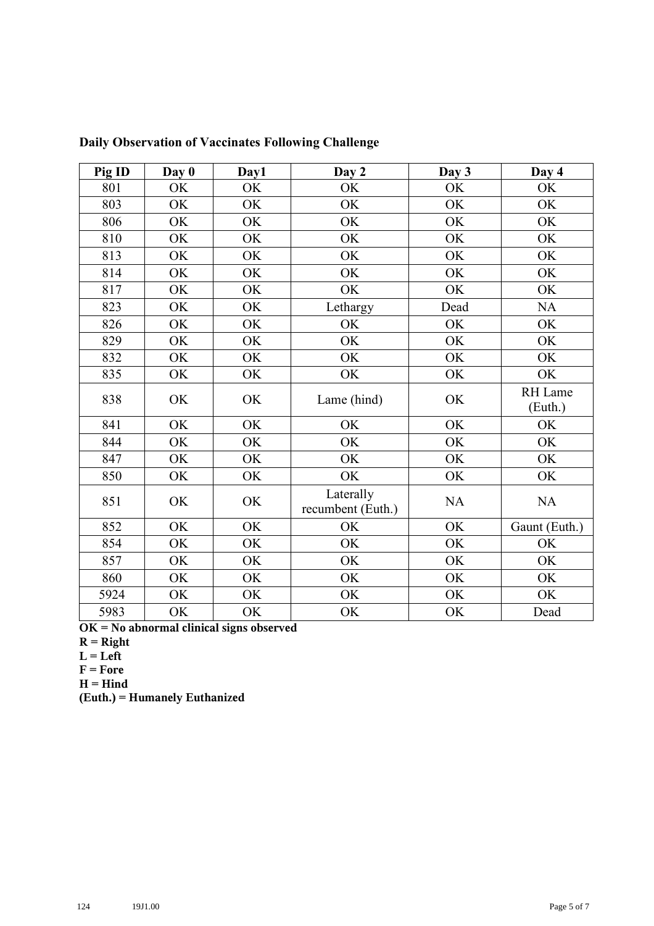| Pig ID | Day 0 | Day1      | Day 2                          | Day 3     | Day 4              |
|--------|-------|-----------|--------------------------------|-----------|--------------------|
| 801    | OK    | OK        | OK                             | <b>OK</b> | OK                 |
| 803    | OK    | OK        | OK                             | OK        | OK                 |
| 806    | OK    | OK        | OK                             | OK        | OK                 |
| 810    | OK    | OK        | OK                             | OK        | OK                 |
| 813    | OK    | OK        | OK                             | <b>OK</b> | OK                 |
| 814    | OK    | OK        | OK                             | OK        | OK                 |
| 817    | OK    | OK        | OK                             | OK        | OK                 |
| 823    | OK    | OK        | Lethargy                       | Dead      | NA                 |
| 826    | OK    | <b>OK</b> | OK                             | OK        | OK                 |
| 829    | OK    | OK        | OK                             | OK        | OK                 |
| 832    | OK    | OK        | OK                             | <b>OK</b> | <b>OK</b>          |
| 835    | OK    | OK        | OK                             | OK        | <b>OK</b>          |
| 838    | OK    | OK        | Lame (hind)                    | OK        | RH Lame<br>(Euth.) |
| 841    | OK    | OK        | OK                             | OK        | OK                 |
| 844    | OK    | OK        | OK                             | OK        | OK                 |
| 847    | OK    | OK        | OK                             | OK        | OK                 |
| 850    | OK    | OK        | OK                             | OK        | <b>OK</b>          |
| 851    | OK    | OK        | Laterally<br>recumbent (Euth.) | <b>NA</b> | NA                 |
| 852    | OK    | OK        | OK                             | OK        | Gaunt (Euth.)      |
| 854    | OK    | OK        | OK                             | OK        | <b>OK</b>          |
| 857    | OK    | OK        | OK                             | OK        | OK                 |
| 860    | OK    | OK        | OK                             | OK        | OK                 |
| 5924   | OK    | OK        | OK                             | OK        | OK                 |
| 5983   | OK    | <b>OK</b> | OK                             | OK        | Dead               |

**Daily Observation of Vaccinates Following Challenge**

**OK = No abnormal clinical signs observed**

- **R = Right**
- $L = Left$
- $F = Force$
- **H = Hind**

**(Euth.) = Humanely Euthanized**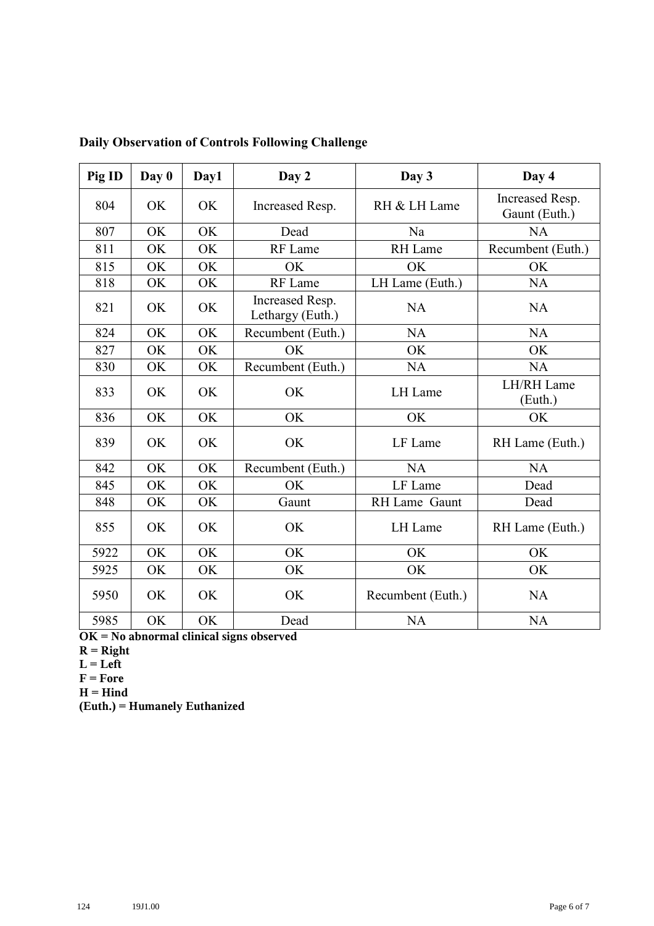| Pig ID | Day 0 | Day1 | Day 2                               | Day 3             | Day 4                            |
|--------|-------|------|-------------------------------------|-------------------|----------------------------------|
| 804    | OK    | OK   | Increased Resp.                     | RH & LH Lame      | Increased Resp.<br>Gaunt (Euth.) |
| 807    | OK    | OK   | Dead                                | Na                | <b>NA</b>                        |
| 811    | OK    | OK   | RF Lame                             | <b>RH</b> Lame    | Recumbent (Euth.)                |
| 815    | OK    | OK   | OK                                  | OK                | OK                               |
| 818    | OK    | OK   | RF Lame                             | LH Lame (Euth.)   | <b>NA</b>                        |
| 821    | OK    | OK   | Increased Resp.<br>Lethargy (Euth.) | <b>NA</b>         | <b>NA</b>                        |
| 824    | OK    | OK   | Recumbent (Euth.)                   | <b>NA</b>         | <b>NA</b>                        |
| 827    | OK    | OK   | OK                                  | OK                | OK                               |
| 830    | OK    | OK   | Recumbent (Euth.)                   | <b>NA</b>         |                                  |
| 833    | OK    | OK   | OK                                  | LH Lame           | LH/RH Lame<br>(Euth.)            |
| 836    | OK    | OK   | OK                                  | OK                | OK                               |
| 839    | OK    | OK   | OK                                  | LF Lame           |                                  |
| 842    | OK    | OK   | Recumbent (Euth.)                   | <b>NA</b>         | <b>NA</b>                        |
| 845    | OK    | OK   | OK                                  | LF Lame           | Dead                             |
| 848    | OK    | OK   | Gaunt                               | RH Lame Gaunt     | Dead                             |
| 855    | OK    | OK   | OK                                  | LH Lame           | RH Lame (Euth.)                  |
| 5922   | OK    | OK   | OK                                  | OK                | OK                               |
| 5925   | OK    | OK   | OK                                  | OK                | OK                               |
| 5950   | OK    | OK   | OK                                  | Recumbent (Euth.) | <b>NA</b>                        |
| 5985   | OK    | OK   | Dead                                | <b>NA</b>         | <b>NA</b>                        |

**Daily Observation of Controls Following Challenge**

**OK = No abnormal clinical signs observed**

- **R = Right**
- $L = Left$

**F = Fore**

**H = Hind**

**(Euth.) = Humanely Euthanized**